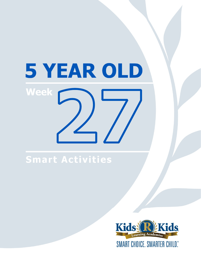# 5 YEAR OLD **Week**

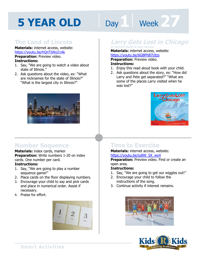# **Day 1 Week 27**

#### **The Land of Lincoln**

**Materials:** internet access, website: https://youtu.be/hQnTjWo21Ak

**Preparation: Preview video. Instructions:** 

- 1. Say, "We are going to watch a video about state of Illinois."
- 2. Ask questions about the video, ex: "What are nicknames for the state of Illinois?" "What is the largest city in Illinois?"



#### **Number Sequence**

**Materials:** index cards, marker **Preparation:** Write numbers 1-20 on index cards. One number per card.

#### **Instructions:**

- 1. Say, "We are going to play a number sequence game!"
- 2. Place cards on the floor displaying numbers.
- 3. Encourage your child to say and pick cards and place in numerical order. Assist if necessary.
- 4. Praise for effort.



### **Larry Gets Lost in Chicago by Michael Mullin & John Skewes**

**Materials:** internet access, website:

**https://youtu.be/6GBPhB7Utzs<br><b>Preparation:** Preview video.<br>**Instructions:**<br>1. Faisy this read aloud book with your **Preparation:** Preview video. **Instructions:** 

- 1. Enjoy this read aloud book with your child.
- 2. Ask questions about the story, ex: "How did Larry and Pete get separated?" "What are some of the places Larry visited when he was lost?"



#### **Time to Exercise**

#### **Materials:** internet access, website: https://youtu.be/ju8W\_SX\_wy4

**Preparation:** Preview video. Find or create an open area.

#### **Instructions:**

- 1. Say, "We are going to get our wiggles out!"
- 2. Encourage your child to follow the instructions of the song.
- 3. Continue activity if interest remains.



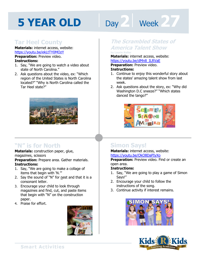# Day 2 | Week 27

#### **Tar Heel County**

**Materials:** internet access, website: https://youtu.be/ekLtTY0MOzY **Preparation: Preview video.** 

#### **Instructions:**

- 1. Say, "We are going to watch a video about state of North Carolina."
- 2. Ask questions about the video, ex: "Which region of the United States is North Carolina located?" "Why is North Carolina called the Tar Heel state?"



#### **"N" is for North**

**Materials:** construction paper, glue, magazines, scissors

**Preparation:** Prepare area. Gather materials. **Instructions:** 

- 1. Say, "We are going to make a collage of items that begin with 'N.'"
- 2. Say the sound of "N" for nest and that it is a consonant letter.
- 3. Encourage your child to look through magazines and find, cut, and paste items that begin with "N" on the construction paper.
- 4. Praise for effort.



#### **The Scrambled States of America Talent Show by Laurie Keller**

**Materials:** internet access, website:<br>https://youtu.be/dMn8\_ILRVaE<br>**Preparation:** Preview video. https://youtu.be/dMn8\_ILRVaE

**Preparation:** Preview video.

#### **Instructions:**

- 1. Continue to enjoy this wonderful story about the states' amazing talent show from last week.
- 2. Ask questions about the story, ex: "Why did Washington D.C sneeze?" "Which states danced the tango?"



#### **Simon Says!**

**Materials:** internet access, website: https://youtu.be/OkO8DaPIyXo

**Preparation:** Preview video. Find or create an open area.

#### **Instructions:**

- 1. Say, "We are going to play a game of Simon Says!"
- 2. Encourage your child to follow the instructions of the song.
- 3. Continue activity if interest remains.



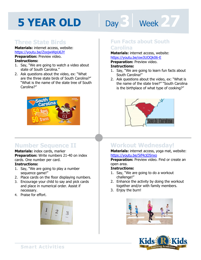# Day 3 Week 27

#### **Three State Birds**

**Materials:** internet access, website: https://youtu.be/ZoojwWpU6JY **Preparation: Preview video.** 

#### **Instructions:**

- 1. Say, "We are going to watch a video about state of South Carolina."
- 2. Ask questions about the video, ex: "What are the three state birds of South Carolina?" "What is the name of the state tree of South Carolina?"



#### **Number Sequence II**

**Materials:** index cards, marker **Preparation:** Write numbers 21-40 on index cards. One number per card.

#### **Instructions:**

- 1. Say, "We are going to play a number sequence game!"
- 2. Place cards on the floor displaying numbers.
- 3. Encourage your child to say and pick cards and place in numerical order. Assist if necessary.
- 4. Praise for effort.



#### **Fun Facts about South Carolina**

**als:** internet access, website:<br>'<u>youtu.be/ow3UOQk06-E</u><br>'**ation:** Preview video.<br>**ctions: Materials:** internet access, website: https://youtu.be/ow3UOQk06-E **Preparation:** Preview video.

#### **Instructions:**

- 1. Say, "We are going to learn fun facts about South Carolina!"
- 2. Ask questions about the video, ex: "What is the name of the state tree?" "South Carolina is the birthplace of what type of cooking?"



#### **Workout Wednesday!**

**Materials:** internet access, yoga mat, website: https://youtu.be/5if4cjO5nxo

**Preparation:** Preview video. Find or create an open area.

#### **Instructions:**

- 1. Say, "We are going to do a workout challenge!"
- 2. Enhance the activity by doing the workout together and/or with family members.
- 3. Enjoy the burn!



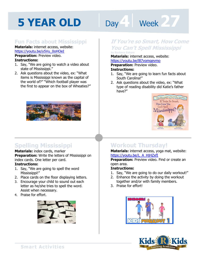# **Day 4 | Week 27**

#### **Fun Facts about Mississippi**

**Materials:** internet access, website: https://youtu.be/y5Vu\_0oHOeI

**Preparation:** Preview video. **Instructions:** 

- 1. Say, "We are going to watch a video about state of Mississippi."
- 2. Ask questions about the video, ex: "What items is Mississippi known as the capital of the world of?" "Which football player was the first to appear on the box of Wheaties?"



#### **Spelling Mississippi**

**Materials:** index cards, marker **Preparation:** Write the letters of Mississippi on index cards. One letter per card.

#### **Instructions:**

- 1. Say, "We are going to spell the word Mississippi!"
- 2. Place cards on the floor displaying letters.
- 3. Encourage your child to sound out each letter as he/she tries to spell the word. Assist when necessary.
- 4. Praise for effort.



#### **If You're so Smart, How Come You Can't Spell Mississippi by Barbara Esham**

Materials: internet access, website:<br>https://youtu.be/187vomqevmo<br>Preparation: Preview video.

https://youtu.be/l87vomqevmo

**Preparation:** Preview video.

#### **Instructions:**

- 1. Say, "We are going to learn fun facts about South Carolina!"
- 2. Ask questions about the video, ex: "What type of reading disability did Katie's father have?"



#### **Workout Thursday!**

**Materials:** internet access, yoga mat, website: https://youtu.be/L\_A\_HjHZxfI

**Preparation:** Preview video. Find or create an open area.

#### **Instructions:**

- 1. Say, "We are going to do our daily workout!"
- 2. Enhance the activity by doing the workout together and/or with family members.
- 3. Praise for effort!